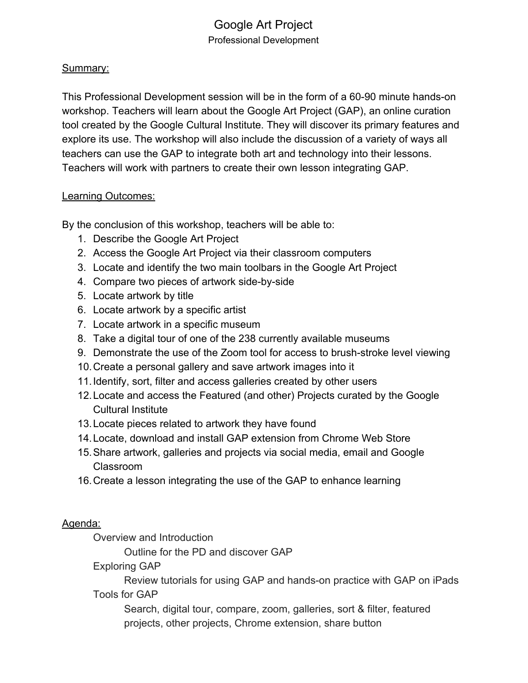# Google Art Project Professional Development

## Summary:

This Professional Development session will be in the form of a 60-90 minute hands-on workshop. Teachers will learn about the Google Art Project (GAP), an online curation tool created by the Google Cultural Institute. They will discover its primary features and explore its use. The workshop will also include the discussion of a variety of ways all teachers can use the GAP to integrate both art and technology into their lessons. Teachers will work with partners to create their own lesson integrating GAP.

## Learning Outcomes:

By the conclusion of this workshop, teachers will be able to:

- 1. Describe the Google Art Project
- 2. Access the Google Art Project via their classroom computers
- 3. Locate and identify the two main toolbars in the Google Art Project
- 4. Compare two pieces of artwork side-by-side
- 5. Locate artwork by title
- 6. Locate artwork by a specific artist
- 7. Locate artwork in a specific museum
- 8. Take a digital tour of one of the 238 currently available museums
- 9. Demonstrate the use of the Zoom tool for access to brush-stroke level viewing
- 10.Create a personal gallery and save artwork images into it
- 11.Identify, sort, filter and access galleries created by other users
- 12.Locate and access the Featured (and other) Projects curated by the Google Cultural Institute
- 13.Locate pieces related to artwork they have found
- 14.Locate, download and install GAP extension from Chrome Web Store
- 15.Share artwork, galleries and projects via social media, email and Google Classroom
- 16.Create a lesson integrating the use of the GAP to enhance learning

## Agenda:

Overview and Introduction

Outline for the PD and discover GAP

Exploring GAP

Review tutorials for using GAP and hands-on practice with GAP on iPads Tools for GAP

Search, digital tour, compare, zoom, galleries, sort & filter, featured projects, other projects, Chrome extension, share button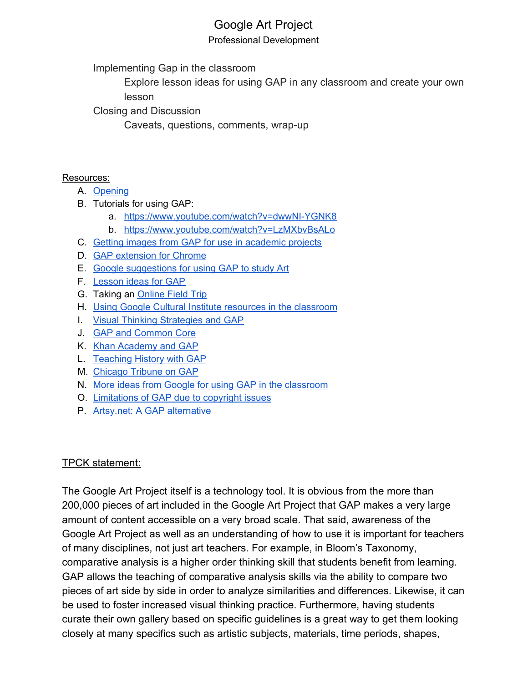# Google Art Project

#### Professional Development

Implementing Gap in the classroom

Explore lesson ideas for using GAP in any classroom and create your own lesson

Closing and Discussion

Caveats, questions, comments, wrap-up

## Resources:

- A. [Opening](https://www.youtube.com/user/GoogleArtProject)
- B. Tutorials for using GAP:
	- a. <https://www.youtube.com/watch?v=dwwNI-YGNK8>
	- b. <https://www.youtube.com/watch?v=LzMXbvBsALo>
- C. Getting images from GAP for use in [academic](https://www.youtube.com/watch?v=hnnz3mV5Ddo) projects
- D. **GAP [extension](https://chrome.google.com/webstore/detail/google-art-project/akimgimeeoiognljlfchpbkpfbmeapkh?hl=en) for Chrome**
- E. Google [suggestions](http://www.google.com/culturalinstitute/about/artproject/education/) for using GAP to study Art
- F. [Lesson](http://edtechteacher.org/google-art-project-jennifer-carey/) ideas for GAP
- G. Taking an **[Online](https://basicsforteaching.withgoogle.com/unit?unit=12&lesson=22) Field Trip**
- H. Using Google Cultural Institute resources in the [classroom](http://etec.ctlt.ubc.ca/510wiki/Using_Google_Cultural_Institute_Resources_in_the_Classroom)
- I. Visual Thinking [Strategies](http://artsintegration.perpich.mn.gov/blog/world-art-museums-your-classroom) and GAP
- J. GAP and [Common](http://blog.edtechteam.com/2014/03/google-art-project-and-google-cultural.html) Core
- K. Khan [Academy](https://www.khanacademy.org/about/blog/post/20407630687/khan-academy-and-the-google-art-project) and GAP
- L. [Teaching](http://teachinghistory.org/nhec-blog/24540) History with GAP
- M. [Chicago](http://www.chicagotribune.com/entertainment/ct-google-students-art-insitute-20150319-column.html) Tribune on GAP
- N. More ideas from Google for using GAP in the [classroom](http://www.google.com/culturalinstitute/about/artproject/education/)
- O. [Limitations](https://www.washingtonpost.com/news/the-intersect/wp/2015/03/04/googles-quest-to-make-art-available-to-everyone-was-foiled-by-copyright-concerns/) of GAP due to copyright issues
- P. Artsy.net: A GAP [alternative](https://www.artsy.net/artists)

## TPCK statement:

The Google Art Project itself is a technology tool. It is obvious from the more than 200,000 pieces of art included in the Google Art Project that GAP makes a very large amount of content accessible on a very broad scale. That said, awareness of the Google Art Project as well as an understanding of how to use it is important for teachers of many disciplines, not just art teachers. For example, in Bloom's Taxonomy, comparative analysis is a higher order thinking skill that students benefit from learning. GAP allows the teaching of comparative analysis skills via the ability to compare two pieces of art side by side in order to analyze similarities and differences. Likewise, it can be used to foster increased visual thinking practice. Furthermore, having students curate their own gallery based on specific guidelines is a great way to get them looking closely at many specifics such as artistic subjects, materials, time periods, shapes,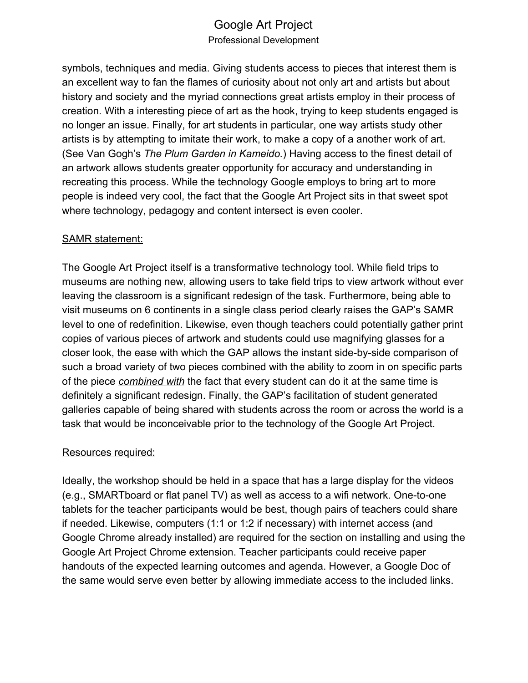# Google Art Project Professional Development

symbols, techniques and media. Giving students access to pieces that interest them is an excellent way to fan the flames of curiosity about not only art and artists but about history and society and the myriad connections great artists employ in their process of creation. With a interesting piece of art as the hook, trying to keep students engaged is no longer an issue. Finally, for art students in particular, one way artists study other artists is by attempting to imitate their work, to make a copy of a another work of art. (See Van Gogh's *The Plum Garden in Kameido.*) Having access to the finest detail of an artwork allows students greater opportunity for accuracy and understanding in recreating this process. While the technology Google employs to bring art to more people is indeed very cool, the fact that the Google Art Project sits in that sweet spot where technology, pedagogy and content intersect is even cooler.

## SAMR statement:

The Google Art Project itself is a transformative technology tool. While field trips to museums are nothing new, allowing users to take field trips to view artwork without ever leaving the classroom is a significant redesign of the task. Furthermore, being able to visit museums on 6 continents in a single class period clearly raises the GAP's SAMR level to one of redefinition. Likewise, even though teachers could potentially gather print copies of various pieces of artwork and students could use magnifying glasses for a closer look, the ease with which the GAP allows the instant side-by-side comparison of such a broad variety of two pieces combined with the ability to zoom in on specific parts of the piece *combined with* the fact that every student can do it at the same time is definitely a significant redesign. Finally, the GAP's facilitation of student generated galleries capable of being shared with students across the room or across the world is a task that would be inconceivable prior to the technology of the Google Art Project.

## Resources required:

Ideally, the workshop should be held in a space that has a large display for the videos (e.g., SMARTboard or flat panel TV) as well as access to a wifi network. One-to-one tablets for the teacher participants would be best, though pairs of teachers could share if needed. Likewise, computers (1:1 or 1:2 if necessary) with internet access (and Google Chrome already installed) are required for the section on installing and using the Google Art Project Chrome extension. Teacher participants could receive paper handouts of the expected learning outcomes and agenda. However, a Google Doc of the same would serve even better by allowing immediate access to the included links.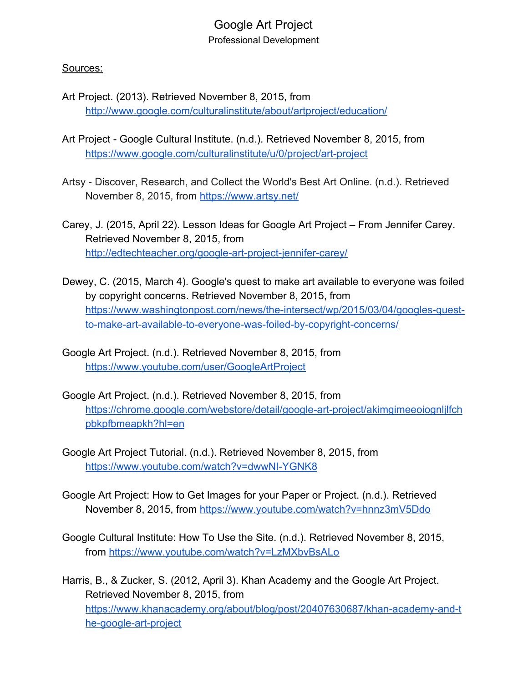## Google Art Project Professional Development

#### Sources:

- Art Project. (2013). Retrieved November 8, 2015, from <http://www.google.com/culturalinstitute/about/artproject/education/>
- Art Project Google Cultural Institute. (n.d.). Retrieved November 8, 2015, from <https://www.google.com/culturalinstitute/u/0/project/art-project>
- Artsy Discover, Research, and Collect the World's Best Art Online. (n.d.). Retrieved November 8, 2015, from <https://www.artsy.net/>
- Carey, J. (2015, April 22). Lesson Ideas for Google Art Project From Jennifer Carey. Retrieved November 8, 2015, from <http://edtechteacher.org/google-art-project-jennifer-carey/>
- Dewey, C. (2015, March 4). Google's quest to make art available to everyone was foiled by copyright concerns. Retrieved November 8, 2015, fro[m](https://www.washingtonpost.com/news/the-intersect/wp/2015/03/04/googles-quest-to-make-art-available-to-everyone-was-foiled-by-copyright-concerns/) [https://www.washingtonpost.com/news/the-intersect/wp/2015/03/04/googles-quest](https://www.washingtonpost.com/news/the-intersect/wp/2015/03/04/googles-quest-to-make-art-available-to-everyone-was-foiled-by-copyright-concerns/)[to-make-art-available-to-everyone-was-foiled-by-copyright-concerns/](https://www.washingtonpost.com/news/the-intersect/wp/2015/03/04/googles-quest-to-make-art-available-to-everyone-was-foiled-by-copyright-concerns/)
- Google Art Project. (n.d.). Retrieved November 8, 2015, fro[m](https://www.youtube.com/user/GoogleArtProject) <https://www.youtube.com/user/GoogleArtProject>
- Google Art Project. (n.d.). Retrieved November 8, 2015, fro[m](https://chrome.google.com/webstore/detail/google-art-project/akimgimeeoiognljlfchpbkpfbmeapkh?hl=en) [https://chrome.google.com/webstore/detail/google-art-project/akimgimeeoiognljlfch](https://chrome.google.com/webstore/detail/google-art-project/akimgimeeoiognljlfchpbkpfbmeapkh?hl=en) [pbkpfbmeapkh?hl=en](https://chrome.google.com/webstore/detail/google-art-project/akimgimeeoiognljlfchpbkpfbmeapkh?hl=en)
- Google Art Project Tutorial. (n.d.). Retrieved November 8, 2015, from <https://www.youtube.com/watch?v=dwwNI-YGNK8>
- Google Art Project: How to Get Images for your Paper or Project. (n.d.). Retrieved November 8, 2015, from <https://www.youtube.com/watch?v=hnnz3mV5Ddo>
- Google Cultural Institute: How To Use the Site. (n.d.). Retrieved November 8, 2015, from <https://www.youtube.com/watch?v=LzMXbvBsALo>
- Harris, B., & Zucker, S. (2012, April 3). Khan Academy and the Google Art Project. Retrieved November 8, 2015, from [https://www.khanacademy.org/about/blog/post/20407630687/khan-academy-and-t](https://www.khanacademy.org/about/blog/post/20407630687/khan-academy-and-the-google-art-project) [he-google-art-project](https://www.khanacademy.org/about/blog/post/20407630687/khan-academy-and-the-google-art-project)